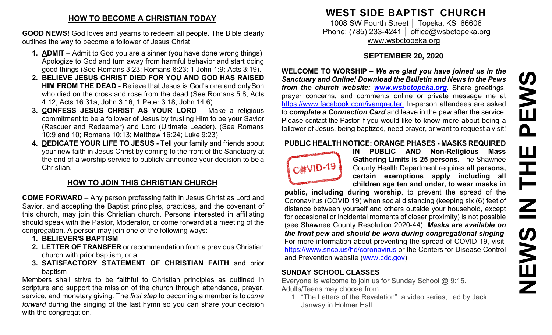## **HOW TO BECOME A CHRISTIAN TODAY**

**GOOD NEWS!** God loves and yearns to redeem all people. The Bible clearly outlines the way to become a follower of Jesus Christ:

- **1. ADMIT**  Admit to God you are a sinner (you have done wrong things). Apologize to God and turn away from harmful behavior and start doing good things (See Romans 3:23; Romans 6:23; 1 John 1:9; Acts 3:19).
- **2. BELIEVE JESUS CHRIST DIED FOR YOU AND GOD HAS RAISED HIM FROM THE DEAD -** Believe that Jesus is God's one and onlySon who died on the cross and rose from the dead (See Romans 5:8; Acts 4:12; Acts 16:31a; John 3:16; 1 Peter 3:18; John 14:6).
- **3. CONFESS JESUS CHRIST AS YOUR LORD –** Make a religious commitment to be a follower of Jesus by trusting Him to be your Savior (Rescuer and Redeemer) and Lord (Ultimate Leader). (See Romans 10:9 and 10; Romans 10:13; Matthew 16:24; Luke 9:23)
- **4. DEDICATE YOUR LIFE TO JESUS -** Tell your family and friends about your new faith in Jesus Christ by coming to the front of the Sanctuary at the end of a worship service to publicly announce your decision to be a Christian.

# **HOW TO JOIN THIS CHRISTIAN CHURCH**

**COME FORWARD** – Any person professing faith in Jesus Christ as Lord and Savior, and accepting the Baptist principles, practices, and the covenant of this church, may join this Christian church. Persons interested in affiliating should speak with the Pastor, Moderator, or come forward at a meeting of the congregation. A person may join one of the following ways:

- **1. BELIEVER'S BAPTISM**
- **2. LETTER OF TRANSFER** or recommendation from a previous Christian church with prior baptism; or a
- **3. SATISFACTORY STATEMENT OF CHRISTIAN FAITH** and prior baptism

Members shall strive to be faithful to Christian principles as outlined in scripture and support the mission of the church through attendance, prayer, service, and monetary giving. The *first step* to becoming a member is to *come forward* during the singing of the last hymn so you can share your decision with the congregation.

# **WEST SIDE BAPTIST CHURCH**

1008 SW Fourth Street | Topeka, KS 66606 Phone: (785) 233-4241 │ [office@wsbctopeka.org](mailto:office@wsbctopeka.org) [www.wsbctopeka.org](http://www.wsbctopeka.org/)

# **SEPTEMBER 20, 2020**

**WELCOME TO WORSHIP –** *We are glad you have joined us in the Sanctuary and Online! Download the Bulletin and News in the Pews from the church website: [www.wsbctopeka.org.](http://www.wsbctopeka.org/)* Share greetings, prayer concerns, and comments online or private message me at <https://www.facebook.com/ivangreuter.> In-person attendees are asked to **c***omplete a Connection Card* and leave in the pew after the service. Please contact the Pastor if you would like to know more about being a follower of Jesus, being baptized, need prayer, or want to request a visit!

#### **PUBLIC HEALTH NOTICE: ORANGE PHASES - MASKS REQUIRED**



**IN PUBLIC AND Non-Religious Mass Gathering Limits is 25 persons.** The Shawnee County Health Department requires **all persons, certain exemptions apply including all children age ten and under, to wear masks in** 

**public, including during worship**, to prevent the spread of the Coronavirus (COVID 19) when social distancing (keeping six (6) feet of distance between yourself and others outside your household, except for occasional or incidental moments of closer proximity) is not possible (see Shawnee County Resolution 2020-44). *Masks are available on the front pew and should be worn during congregational singing*. For more information about preventing the spread of COVID 19, visit: <https://www.snco.us/hd/coronavirus> or the Centers for Disease Control and Prevention website [\(www.cdc.gov\)](http://www.cdc.gov/).

### **SUNDAY SCHOOL CLASSES**

Everyone is welcome to join us for Sunday School @ 9:15. Adults/Teens may choose from:

1. "The Letters of the Revelation" a video series, led by Jack Janway in Holmer Hall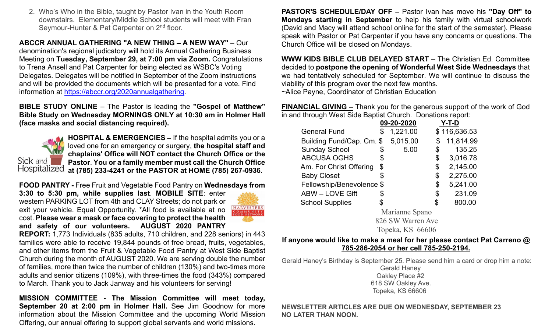2. Who's Who in the Bible, taught by Pastor Ivan in the Youth Room downstairs. Elementary/Middle School students will meet with Fran Seymour-Hunter & Pat Carpenter on 2<sup>nd</sup> floor.

**ABCCR ANNUAL GATHERING "A NEW THING – A NEW WAY"** – Our denomination's regional judicatory will hold its Annual Gathering Business Meeting on **Tuesday, September 29, at 7:00 pm via Zoom.** Congratulations to Trena Ansell and Pat Carpenter for being elected as WSBC's Voting Delegates. Delegates will be notified in September of the Zoom instructions and will be provided the documents which will be presented for a vote. Find information at [https://abccr.org/2020annualgathering.](https://abccr.org/2020annualgathering)

**BIBLE STUDY ONLINE** – The Pastor is leading the **"Gospel of Matthew" Bible Study on Wednesday MORNINGS ONLY at 10:30 am in Holmer Hall (face masks and social distancing required).** 



**HOSPITAL & EMERGENCIES –** If the hospital admits you or a loved one for an emergency or surgery, **the hospital staff and chaplains' Office will NOT contact the Church Office or the Pastor**. **You or a family member must call the Church Office at (785) 233-4241 or the PASTOR at HOME (785) 267-0936**.

**FOOD PANTRY -** Free Fruit and Vegetable Food Pantry on **Wednesdays from** 

**3:30 to 5:30 pm, while supplies last**. **MOBILE SITE**: enter western PARKING LOT from 4th and CLAY Streets; do not park or exit your vehicle. Equal Opportunity. \*All food is available at no cost. **Please wear a mask or face covering to protect the health and safety of our volunteers. AUGUST 2020 PANTRY** 



**REPORT:** 1,773 Individuals (835 adults, 710 children, and 228 seniors) in 443 families were able to receive 19,844 pounds of free bread, fruits, vegetables, and other items from the Fruit & Vegetable Food Pantry at West Side Baptist Church during the month of AUGUST 2020. We are serving double the number of families, more than twice the number of children (130%) and two-times more adults and senior citizens (109%), with three-times the food (343%) compared to March. Thank you to Jack Janway and his volunteers for serving!

**MISSION COMMITTEE - The Mission Committee will meet today, September 20 at 2:00 pm in Holmer Hall.** See Jim Goodnow for more information about the Mission Committee and the upcoming World Mission Offering, our annual offering to support global servants and world missions.

**PASTOR'S SCHEDULE/DAY OFF –** Pastor Ivan has move his **"Day Off" to Mondays starting in September** to help his family with virtual schoolwork (David and Macy will attend school online for the start of the semester). Please speak with Pastor or Pat Carpenter if you have any concerns or questions. The Church Office will be closed on Mondays.

**WWW KIDS BIBLE CLUB DELAYED START** – The Christian Ed. Committee decided to **postpone the opening of Wonderful West Side Wednesdays** that we had tentatively scheduled for September. We will continue to discuss the viability of this program over the next few months. ~Alice Payne, Coordinator of Christian Education

**FINANCIAL GIVING** – Thank you for the generous support of the work of God in and through West Side Baptist Church. Donations report:

|                           |    | 09-20-2020 |    | Y-T-D        |
|---------------------------|----|------------|----|--------------|
| <b>General Fund</b>       | \$ | 1,221.00   |    | \$116,636.53 |
| Building Fund/Cap. Cm. \$ |    | 5,015.00   |    | 11,814.99    |
| <b>Sunday School</b>      | \$ | 5.00       | \$ | 135.25       |
| <b>ABCUSA OGHS</b>        | \$ |            | \$ | 3,016.78     |
| Am. For Christ Offering   | \$ |            | \$ | 2,145.00     |
| <b>Baby Closet</b>        | \$ |            | \$ | 2,275.00     |
| Fellowship/Benevolence \$ |    |            | \$ | 5,241.00     |
| <b>ABW - LOVE Gift</b>    | S  |            | S  | 231.09       |
| <b>School Supplies</b>    |    |            | \$ | 800.00       |
|                           |    |            |    |              |

Marianne Spano 826 SW Warren Ave Topeka, KS 66606

#### **If anyone would like to make a meal for her please contact Pat Carreno @ 785-286-2054 or her cell 785-250-2194.**

Gerald Haney's Birthday is September 25. Please send him a card or drop him a note: Gerald Haney Oakley Place #2 618 SW Oakley Ave. Topeka, KS 66606

#### **NEWSLETTER ARTICLES ARE DUE ON WEDNESDAY, SEPTEMBER 23 NO LATER THAN NOON.**